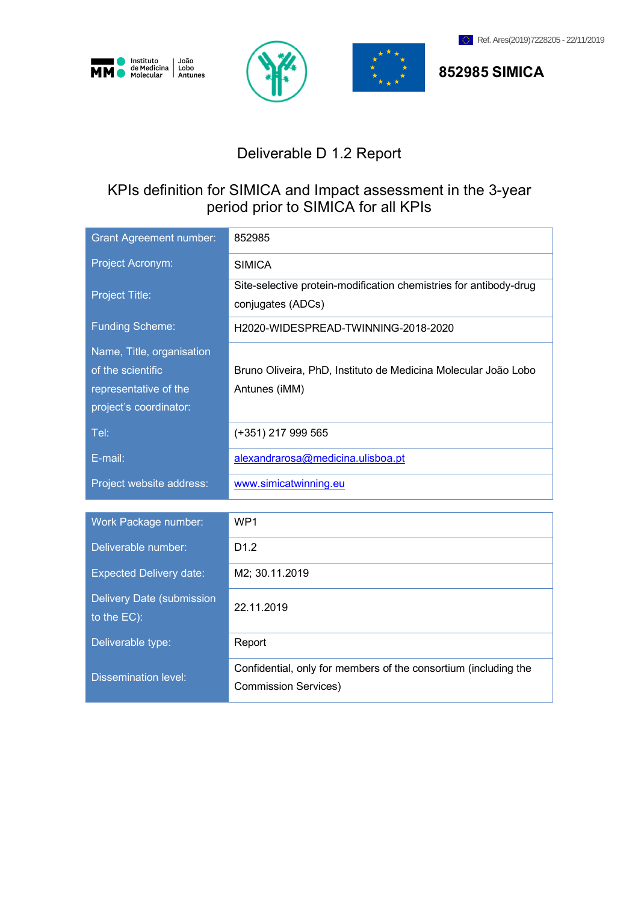







**852985 SIMICA**

# Deliverable D 1.2 Report

# KPIs definition for SIMICA and Impact assessment in the 3-year period prior to SIMICA for all KPIs

| <b>Grant Agreement number:</b>           | 852985                                                                                         |
|------------------------------------------|------------------------------------------------------------------------------------------------|
| Project Acronym:                         | <b>SIMICA</b>                                                                                  |
| <b>Project Title:</b>                    | Site-selective protein-modification chemistries for antibody-drug<br>conjugates (ADCs)         |
| <b>Funding Scheme:</b>                   | H2020-WIDESPREAD-TWINNING-2018-2020                                                            |
| Name, Title, organisation                |                                                                                                |
| of the scientific                        | Bruno Oliveira, PhD, Instituto de Medicina Molecular João Lobo                                 |
| representative of the                    | Antunes (iMM)                                                                                  |
| project's coordinator:                   |                                                                                                |
| Tel:                                     | (+351) 217 999 565                                                                             |
| E-mail:                                  | alexandrarosa@medicina.ulisboa.pt                                                              |
| Project website address:                 | www.simicatwinning.eu                                                                          |
|                                          |                                                                                                |
| Work Package number:                     | WP <sub>1</sub>                                                                                |
| Deliverable number:                      | D1.2                                                                                           |
| <b>Expected Delivery date:</b>           | M2; 30.11.2019                                                                                 |
| Delivery Date (submission<br>to the EC): | 22.11.2019                                                                                     |
| Deliverable type:                        | Report                                                                                         |
| <b>Dissemination level:</b>              | Confidential, only for members of the consortium (including the<br><b>Commission Services)</b> |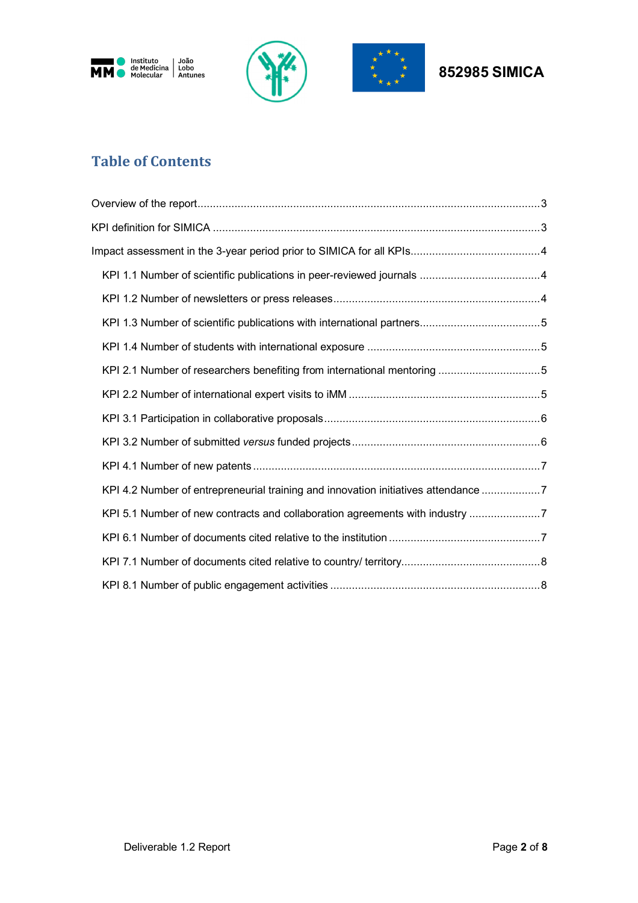





# **Table of Contents**

| KPI 2.1 Number of researchers benefiting from international mentoring 5            |
|------------------------------------------------------------------------------------|
|                                                                                    |
|                                                                                    |
|                                                                                    |
|                                                                                    |
| KPI 4.2 Number of entrepreneurial training and innovation initiatives attendance 7 |
| KPI 5.1 Number of new contracts and collaboration agreements with industry 7       |
|                                                                                    |
|                                                                                    |
|                                                                                    |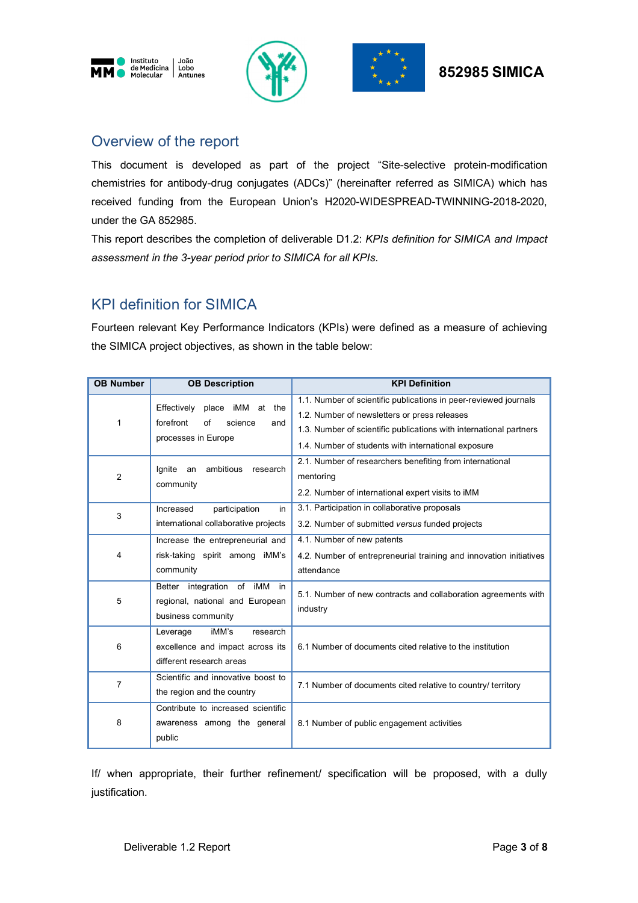





# Overview of the report

This document is developed as part of the project "Site-selective protein-modification chemistries for antibody-drug conjugates (ADCs)" (hereinafter referred as SIMICA) which has received funding from the European Union's H2020-WIDESPREAD-TWINNING-2018-2020, under the GA 852985.

This report describes the completion of deliverable D1.2: *KPIs definition for SIMICA and Impact assessment in the 3-year period prior to SIMICA for all KPIs*.

# KPI definition for SIMICA

Fourteen relevant Key Performance Indicators (KPIs) were defined as a measure of achieving the SIMICA project objectives, as shown in the table below:

| <b>OB Number</b> | <b>OB Description</b>                 | <b>KPI Definition</b>                                              |
|------------------|---------------------------------------|--------------------------------------------------------------------|
|                  | Effectively<br>place<br>iMM<br>at the | 1.1. Number of scientific publications in peer-reviewed journals   |
| 1                | forefront<br>of<br>science<br>and     | 1.2. Number of newsletters or press releases                       |
|                  | processes in Europe                   | 1.3. Number of scientific publications with international partners |
|                  |                                       | 1.4. Number of students with international exposure                |
|                  | ambitious<br>lgnite<br>research<br>an | 2.1. Number of researchers benefiting from international           |
| 2                | community                             | mentoring                                                          |
|                  |                                       | 2.2. Number of international expert visits to iMM                  |
| 3                | Increased<br>participation<br>in      | 3.1. Participation in collaborative proposals                      |
|                  | international collaborative projects  | 3.2. Number of submitted versus funded projects                    |
|                  | Increase the entrepreneurial and      | 4.1. Number of new patents                                         |
| 4                | risk-taking spirit among iMM's        | 4.2. Number of entrepreneurial training and innovation initiatives |
|                  | community                             | attendance                                                         |
|                  | Better integration of iMM<br>in.      | 5.1. Number of new contracts and collaboration agreements with     |
| 5                | regional, national and European       | industry                                                           |
|                  | business community                    |                                                                    |
|                  | iMM's<br>research<br>Leverage         |                                                                    |
| 6                | excellence and impact across its      | 6.1 Number of documents cited relative to the institution          |
|                  | different research areas              |                                                                    |
| $\overline{7}$   | Scientific and innovative boost to    | 7.1 Number of documents cited relative to country/ territory       |
|                  | the region and the country            |                                                                    |
|                  | Contribute to increased scientific    |                                                                    |
| 8                | awareness among the general           | 8.1 Number of public engagement activities                         |
|                  | public                                |                                                                    |

If/ when appropriate, their further refinement/ specification will be proposed, with a dully justification.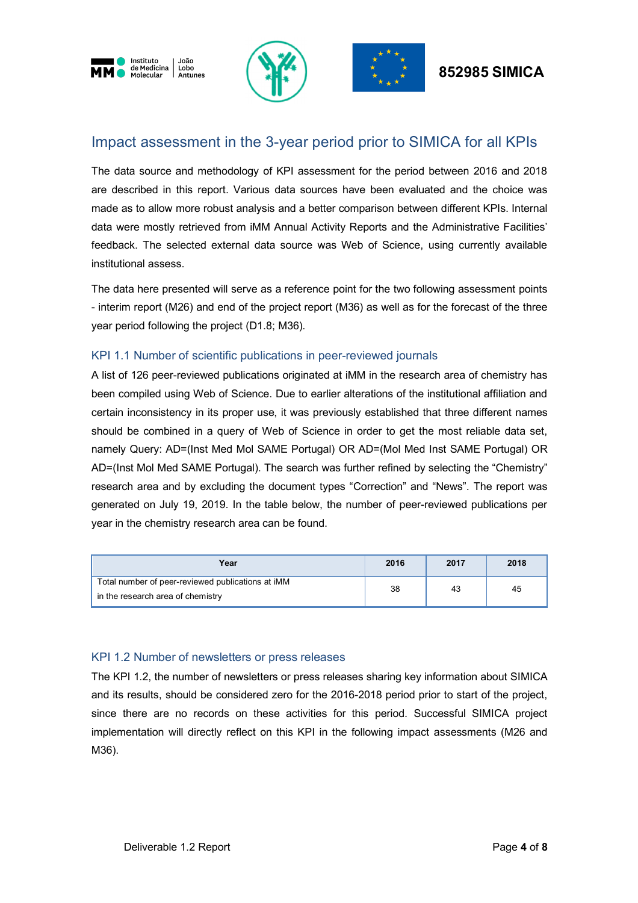





# **852985 SIMICA**

# Impact assessment in the 3-year period prior to SIMICA for all KPIs

The data source and methodology of KPI assessment for the period between 2016 and 2018 are described in this report. Various data sources have been evaluated and the choice was made as to allow more robust analysis and a better comparison between different KPIs. Internal data were mostly retrieved from iMM Annual Activity Reports and the Administrative Facilities' feedback. The selected external data source was Web of Science, using currently available institutional assess.

The data here presented will serve as a reference point for the two following assessment points - interim report (M26) and end of the project report (M36) as well as for the forecast of the three year period following the project (D1.8; M36).

### KPI 1.1 Number of scientific publications in peer-reviewed journals

A list of 126 peer-reviewed publications originated at iMM in the research area of chemistry has been compiled using Web of Science. Due to earlier alterations of the institutional affiliation and certain inconsistency in its proper use, it was previously established that three different names should be combined in a query of Web of Science in order to get the most reliable data set, namely Query: AD=(Inst Med Mol SAME Portugal) OR AD=(Mol Med Inst SAME Portugal) OR AD=(Inst Mol Med SAME Portugal). The search was further refined by selecting the "Chemistry" research area and by excluding the document types "Correction" and "News". The report was generated on July 19, 2019. In the table below, the number of peer-reviewed publications per year in the chemistry research area can be found.

| Year                                              | 2016 | 2017 | 2018 |
|---------------------------------------------------|------|------|------|
| Total number of peer-reviewed publications at iMM | 38   | 43   | 45   |
| in the research area of chemistry                 |      |      |      |

#### KPI 1.2 Number of newsletters or press releases

The KPI 1.2, the number of newsletters or press releases sharing key information about SIMICA and its results, should be considered zero for the 2016-2018 period prior to start of the project, since there are no records on these activities for this period. Successful SIMICA project implementation will directly reflect on this KPI in the following impact assessments (M26 and M36).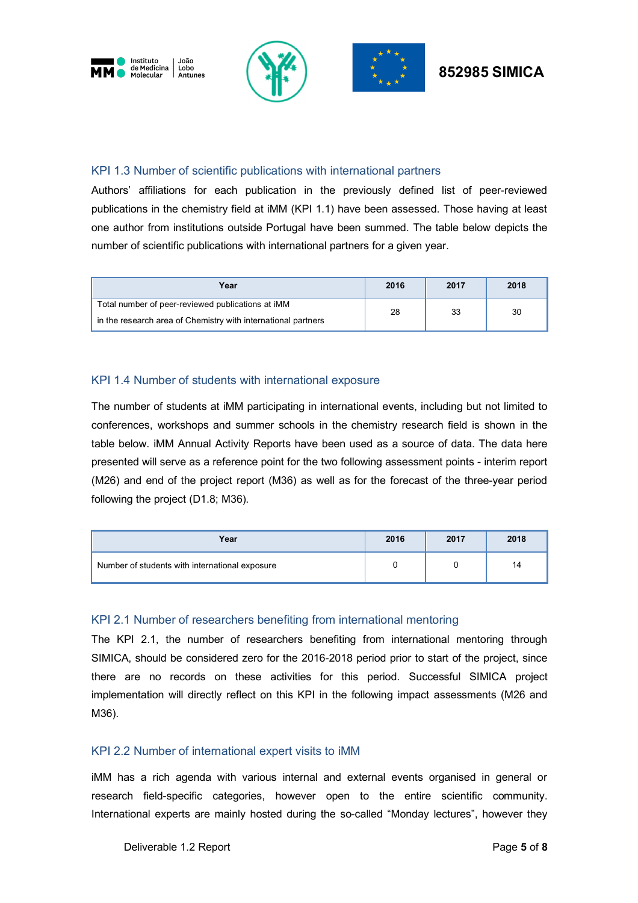





### KPI 1.3 Number of scientific publications with international partners

Authors' affiliations for each publication in the previously defined list of peer-reviewed publications in the chemistry field at iMM (KPI 1.1) have been assessed. Those having at least one author from institutions outside Portugal have been summed. The table below depicts the number of scientific publications with international partners for a given year.

| Year                                                          | 2016 | 2017 | 2018 |
|---------------------------------------------------------------|------|------|------|
| Total number of peer-reviewed publications at iMM             | 28   | 33   | 30   |
| in the research area of Chemistry with international partners |      |      |      |

# KPI 1.4 Number of students with international exposure

The number of students at iMM participating in international events, including but not limited to conferences, workshops and summer schools in the chemistry research field is shown in the table below. iMM Annual Activity Reports have been used as a source of data. The data here presented will serve as a reference point for the two following assessment points - interim report (M26) and end of the project report (M36) as well as for the forecast of the three-year period following the project (D1.8; M36).

| Year                                           | 2016 | 2017 | 2018 |
|------------------------------------------------|------|------|------|
| Number of students with international exposure |      |      | 14   |

# KPI 2.1 Number of researchers benefiting from international mentoring

The KPI 2.1, the number of researchers benefiting from international mentoring through SIMICA, should be considered zero for the 2016-2018 period prior to start of the project, since there are no records on these activities for this period. Successful SIMICA project implementation will directly reflect on this KPI in the following impact assessments (M26 and M36).

#### KPI 2.2 Number of international expert visits to iMM

iMM has a rich agenda with various internal and external events organised in general or research field-specific categories, however open to the entire scientific community. International experts are mainly hosted during the so-called "Monday lectures", however they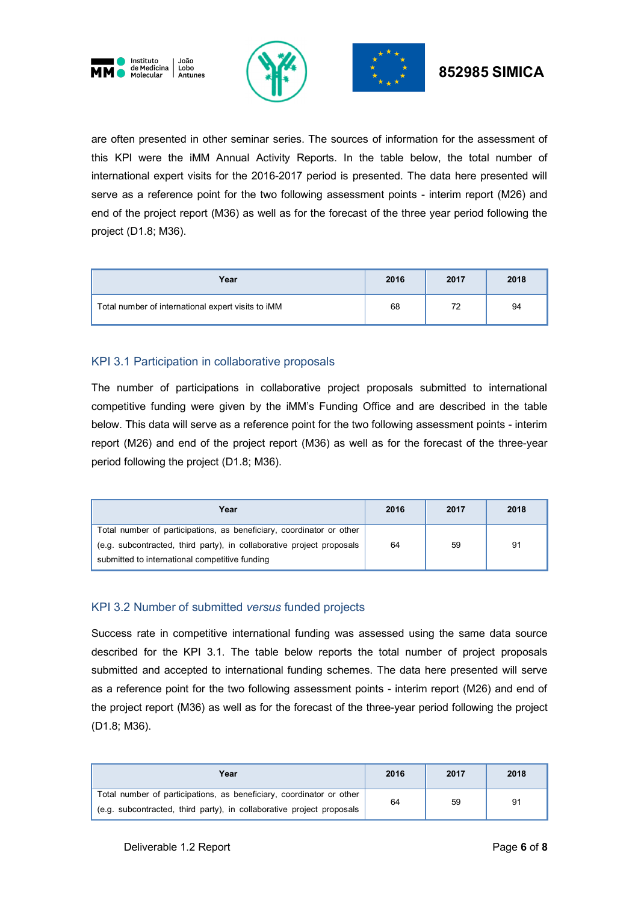





# **852985 SIMICA**

are often presented in other seminar series. The sources of information for the assessment of this KPI were the iMM Annual Activity Reports. In the table below, the total number of international expert visits for the 2016-2017 period is presented. The data here presented will serve as a reference point for the two following assessment points - interim report (M26) and end of the project report (M36) as well as for the forecast of the three year period following the project (D1.8; M36).

| Year                                               | 2016 | 2017 | 2018 |
|----------------------------------------------------|------|------|------|
| Total number of international expert visits to iMM | 68   |      | 94   |

# KPI 3.1 Participation in collaborative proposals

The number of participations in collaborative project proposals submitted to international competitive funding were given by the iMM's Funding Office and are described in the table below. This data will serve as a reference point for the two following assessment points - interim report (M26) and end of the project report (M36) as well as for the forecast of the three-year period following the project (D1.8; M36).

| Year                                                                  | 2016 | 2017 | 2018 |
|-----------------------------------------------------------------------|------|------|------|
| Total number of participations, as beneficiary, coordinator or other  |      |      |      |
| (e.g. subcontracted, third party), in collaborative project proposals | 64   | 59   | 91   |
| submitted to international competitive funding                        |      |      |      |

# KPI 3.2 Number of submitted *versus* funded projects

Success rate in competitive international funding was assessed using the same data source described for the KPI 3.1. The table below reports the total number of project proposals submitted and accepted to international funding schemes. The data here presented will serve as a reference point for the two following assessment points - interim report (M26) and end of the project report (M36) as well as for the forecast of the three-year period following the project (D1.8; M36).

| Year                                                                                                                                          | 2016 | 2017 | 2018 |
|-----------------------------------------------------------------------------------------------------------------------------------------------|------|------|------|
| Total number of participations, as beneficiary, coordinator or other<br>(e.g. subcontracted, third party), in collaborative project proposals | 64   | 59   | 91   |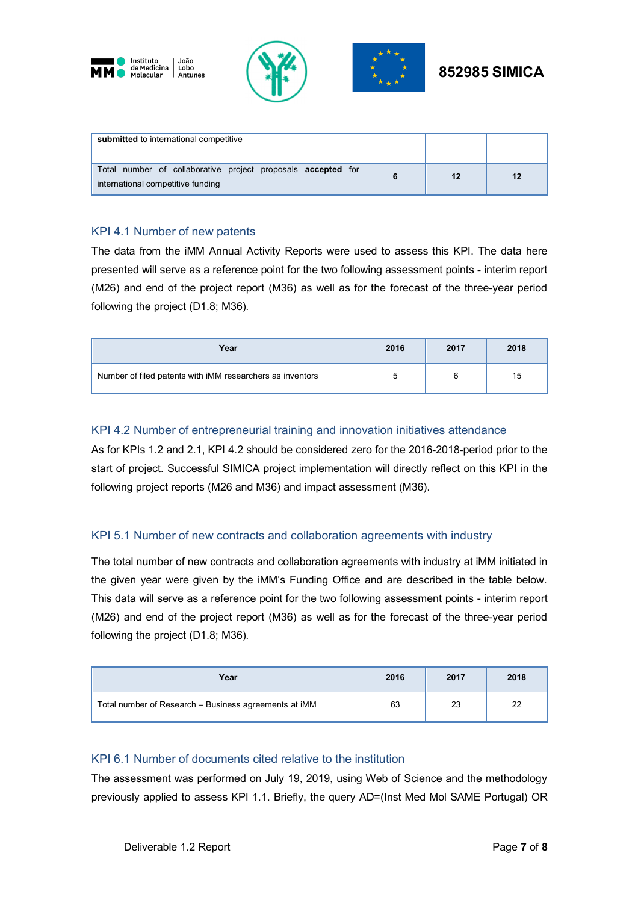





| submitted to international competitive                                                            |  |    |
|---------------------------------------------------------------------------------------------------|--|----|
| Total number of collaborative project proposals accepted for<br>international competitive funding |  | 12 |

### KPI 4.1 Number of new patents

The data from the iMM Annual Activity Reports were used to assess this KPI. The data here presented will serve as a reference point for the two following assessment points - interim report (M26) and end of the project report (M36) as well as for the forecast of the three-year period following the project (D1.8; M36).

| Year                                                      | 2016 | 2017 | 2018 |
|-----------------------------------------------------------|------|------|------|
| Number of filed patents with iMM researchers as inventors |      |      | 15   |

### KPI 4.2 Number of entrepreneurial training and innovation initiatives attendance

As for KPIs 1.2 and 2.1, KPI 4.2 should be considered zero for the 2016-2018-period prior to the start of project. Successful SIMICA project implementation will directly reflect on this KPI in the following project reports (M26 and M36) and impact assessment (M36).

# KPI 5.1 Number of new contracts and collaboration agreements with industry

The total number of new contracts and collaboration agreements with industry at iMM initiated in the given year were given by the iMM's Funding Office and are described in the table below. This data will serve as a reference point for the two following assessment points - interim report (M26) and end of the project report (M36) as well as for the forecast of the three-year period following the project (D1.8; M36).

| Year                                                  | 2016 | 2017 | 2018 |
|-------------------------------------------------------|------|------|------|
| Total number of Research - Business agreements at iMM | 63   | 23   | 22   |

#### KPI 6.1 Number of documents cited relative to the institution

The assessment was performed on July 19, 2019, using Web of Science and the methodology previously applied to assess KPI 1.1. Briefly, the query AD=(Inst Med Mol SAME Portugal) OR